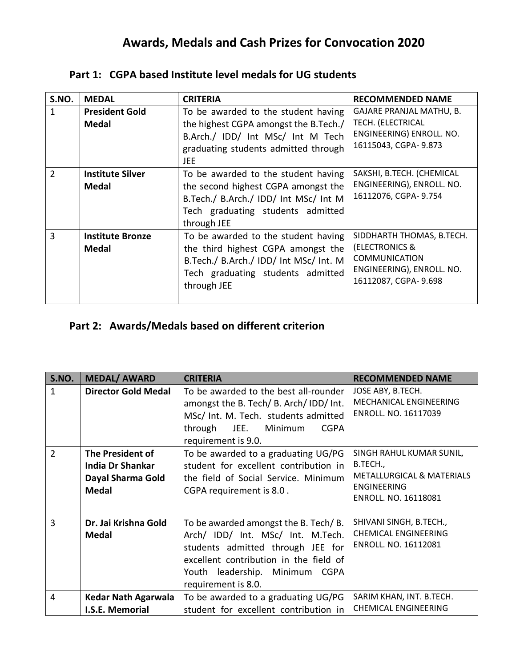# **Awards, Medals and Cash Prizes for Convocation 2020**

| S.NO.          | <b>MEDAL</b>                            | <b>CRITERIA</b>                                                                                                                                                         | <b>RECOMMENDED NAME</b>                                                                                                  |
|----------------|-----------------------------------------|-------------------------------------------------------------------------------------------------------------------------------------------------------------------------|--------------------------------------------------------------------------------------------------------------------------|
| 1              | <b>President Gold</b><br><b>Medal</b>   | To be awarded to the student having<br>the highest CGPA amongst the B.Tech./<br>B.Arch./ IDD/ Int MSc/ Int M Tech<br>graduating students admitted through<br>JEE        | GAJARE PRANJAL MATHU, B.<br>TECH. (ELECTRICAL<br>ENGINEERING) ENROLL. NO.<br>16115043, CGPA- 9.873                       |
| $\overline{2}$ | <b>Institute Silver</b><br>Medal        | To be awarded to the student having<br>the second highest CGPA amongst the<br>B.Tech./ B.Arch./ IDD/ Int MSc/ Int M<br>Tech graduating students admitted<br>through JEE | SAKSHI, B.TECH. (CHEMICAL<br>ENGINEERING), ENROLL. NO.<br>16112076, CGPA- 9.754                                          |
| 3              | <b>Institute Bronze</b><br><b>Medal</b> | To be awarded to the student having<br>the third highest CGPA amongst the<br>B.Tech./ B.Arch./ IDD/ Int MSc/ Int. M<br>Tech graduating students admitted<br>through JEE | SIDDHARTH THOMAS, B.TECH.<br>(ELECTRONICS &<br><b>COMMUNICATION</b><br>ENGINEERING), ENROLL. NO.<br>16112087, CGPA-9.698 |

#### **Part 1: CGPA based Institute level medals for UG students**

#### **Part 2: Awards/Medals based on different criterion**

| S.NO.          | <b>MEDAL/ AWARD</b>                                                              | <b>CRITERIA</b>                                                                                                                                                                                                   | <b>RECOMMENDED NAME</b>                                                                                         |
|----------------|----------------------------------------------------------------------------------|-------------------------------------------------------------------------------------------------------------------------------------------------------------------------------------------------------------------|-----------------------------------------------------------------------------------------------------------------|
| $\mathbf{1}$   | <b>Director Gold Medal</b>                                                       | To be awarded to the best all-rounder<br>amongst the B. Tech/ B. Arch/ IDD/ Int.<br>MSc/ Int. M. Tech. students admitted<br>through JEE.<br>Minimum<br><b>CGPA</b><br>requirement is 9.0.                         | JOSE ABY, B.TECH.<br><b>MECHANICAL ENGINEERING</b><br>ENROLL. NO. 16117039                                      |
| $\overline{2}$ | The President of<br><b>India Dr Shankar</b><br>Dayal Sharma Gold<br><b>Medal</b> | To be awarded to a graduating UG/PG<br>student for excellent contribution in<br>the field of Social Service. Minimum<br>CGPA requirement is 8.0.                                                                  | SINGH RAHUL KUMAR SUNIL,<br>B.TECH.,<br>METALLURGICAL & MATERIALS<br><b>ENGINEERING</b><br>ENROLL. NO. 16118081 |
| 3              | Dr. Jai Krishna Gold<br><b>Medal</b>                                             | To be awarded amongst the B. Tech/B.<br>Arch/ IDD/ Int. MSc/ Int. M.Tech.<br>students admitted through JEE for<br>excellent contribution in the field of<br>Youth leadership. Minimum CGPA<br>requirement is 8.0. | SHIVANI SINGH, B.TECH.,<br><b>CHEMICAL ENGINEERING</b><br>ENROLL. NO. 16112081                                  |
| 4              | Kedar Nath Agarwala<br>I.S.E. Memorial                                           | To be awarded to a graduating UG/PG<br>student for excellent contribution in                                                                                                                                      | SARIM KHAN, INT. B.TECH.<br><b>CHEMICAL ENGINEERING</b>                                                         |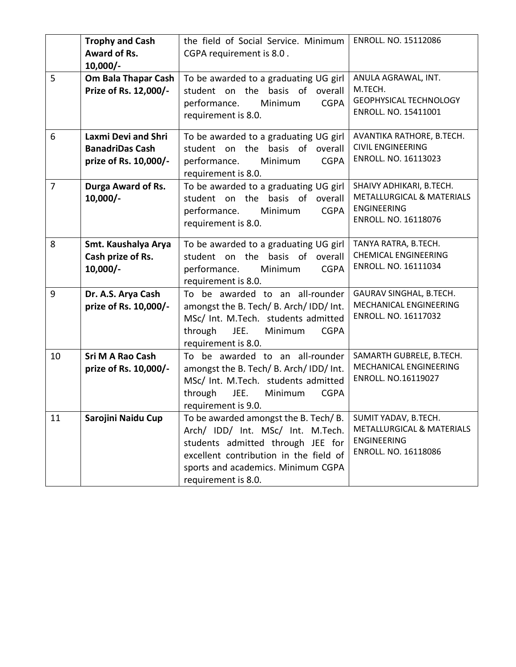|                | <b>Trophy and Cash</b><br>Award of Rs.<br>$10,000/-$                          | the field of Social Service. Minimum<br>CGPA requirement is 8.0.                                                                                                                                                      | ENROLL. NO. 15112086                                                                                |
|----------------|-------------------------------------------------------------------------------|-----------------------------------------------------------------------------------------------------------------------------------------------------------------------------------------------------------------------|-----------------------------------------------------------------------------------------------------|
| 5              | Om Bala Thapar Cash<br>Prize of Rs. 12,000/-                                  | To be awarded to a graduating UG girl<br>student on the basis of overall<br>Minimum<br><b>CGPA</b><br>performance.<br>requirement is 8.0.                                                                             | ANULA AGRAWAL, INT.<br>M.TECH.<br><b>GEOPHYSICAL TECHNOLOGY</b><br>ENROLL. NO. 15411001             |
| 6              | <b>Laxmi Devi and Shri</b><br><b>BanadriDas Cash</b><br>prize of Rs. 10,000/- | To be awarded to a graduating UG girl<br>student on the basis of overall<br>Minimum<br><b>CGPA</b><br>performance.<br>requirement is 8.0.                                                                             | AVANTIKA RATHORE, B.TECH.<br><b>CIVIL ENGINEERING</b><br>ENROLL. NO. 16113023                       |
| $\overline{7}$ | <b>Durga Award of Rs.</b><br>$10,000/-$                                       | To be awarded to a graduating UG girl<br>student on the basis of overall<br>performance.<br>Minimum<br><b>CGPA</b><br>requirement is 8.0.                                                                             | SHAIVY ADHIKARI, B.TECH.<br>METALLURGICAL & MATERIALS<br><b>ENGINEERING</b><br>ENROLL. NO. 16118076 |
| 8              | Smt. Kaushalya Arya<br>Cash prize of Rs.<br>$10,000/-$                        | To be awarded to a graduating UG girl<br>student on the<br>basis of<br>overall<br>Minimum<br><b>CGPA</b><br>performance.<br>requirement is 8.0.                                                                       | TANYA RATRA, B.TECH.<br><b>CHEMICAL ENGINEERING</b><br>ENROLL. NO. 16111034                         |
| 9              | Dr. A.S. Arya Cash<br>prize of Rs. 10,000/-                                   | To be awarded to an all-rounder<br>amongst the B. Tech/ B. Arch/ IDD/ Int.<br>MSc/ Int. M.Tech. students admitted<br>through<br>JEE.<br>Minimum<br><b>CGPA</b><br>requirement is 8.0.                                 | GAURAV SINGHAL, B.TECH.<br>MECHANICAL ENGINEERING<br>ENROLL. NO. 16117032                           |
| 10             | Sri M A Rao Cash<br>prize of Rs. 10,000/-                                     | To be awarded to an all-rounder<br>amongst the B. Tech/ B. Arch/ IDD/ Int.<br>MSc/ Int. M.Tech. students admitted<br>through<br>JEE.<br>Minimum<br><b>CGPA</b><br>requirement is 9.0.                                 | SAMARTH GUBRELE, B.TECH.<br>MECHANICAL ENGINEERING<br>ENROLL. NO.16119027                           |
| 11             | Sarojini Naidu Cup                                                            | To be awarded amongst the B. Tech/B.<br>Arch/ IDD/ Int. MSc/ Int. M.Tech.<br>students admitted through JEE for<br>excellent contribution in the field of<br>sports and academics. Minimum CGPA<br>requirement is 8.0. | SUMIT YADAV, B.TECH.<br>METALLURGICAL & MATERIALS<br><b>ENGINEERING</b><br>ENROLL. NO. 16118086     |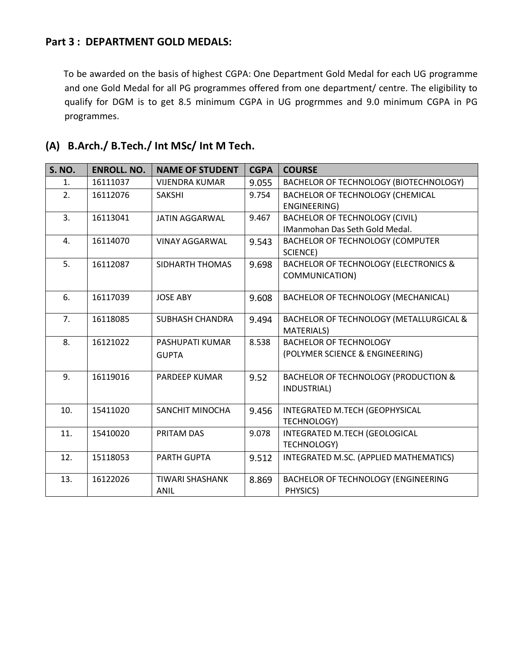#### **Part 3 : DEPARTMENT GOLD MEDALS:**

 To be awarded on the basis of highest CGPA: One Department Gold Medal for each UG programme and one Gold Medal for all PG programmes offered from one department/ centre. The eligibility to qualify for DGM is to get 8.5 minimum CGPA in UG progrmmes and 9.0 minimum CGPA in PG programmes.

| <b>S. NO.</b> | <b>ENROLL. NO.</b> | <b>NAME OF STUDENT</b> | <b>CGPA</b> | <b>COURSE</b>                                    |
|---------------|--------------------|------------------------|-------------|--------------------------------------------------|
| 1.            | 16111037           | <b>VIJENDRA KUMAR</b>  | 9.055       | BACHELOR OF TECHNOLOGY (BIOTECHNOLOGY)           |
| 2.            | 16112076           | <b>SAKSHI</b>          | 9.754       | <b>BACHELOR OF TECHNOLOGY (CHEMICAL</b>          |
|               |                    |                        |             | <b>ENGINEERING)</b>                              |
| 3.            | 16113041           | <b>JATIN AGGARWAL</b>  | 9.467       | <b>BACHELOR OF TECHNOLOGY (CIVIL)</b>            |
|               |                    |                        |             | <b>IManmohan Das Seth Gold Medal.</b>            |
| 4.            | 16114070           | <b>VINAY AGGARWAL</b>  | 9.543       | BACHELOR OF TECHNOLOGY (COMPUTER                 |
|               |                    |                        |             | SCIENCE)                                         |
| 5.            | 16112087           | SIDHARTH THOMAS        | 9.698       | <b>BACHELOR OF TECHNOLOGY (ELECTRONICS &amp;</b> |
|               |                    |                        |             | COMMUNICATION)                                   |
|               |                    |                        |             |                                                  |
| 6.            | 16117039           | <b>JOSE ABY</b>        | 9.608       | BACHELOR OF TECHNOLOGY (MECHANICAL)              |
|               |                    |                        |             |                                                  |
| 7.            | 16118085           | <b>SUBHASH CHANDRA</b> | 9.494       | BACHELOR OF TECHNOLOGY (METALLURGICAL &          |
|               |                    |                        |             | <b>MATERIALS</b> )                               |
| 8.            | 16121022           | PASHUPATI KUMAR        | 8.538       | <b>BACHELOR OF TECHNOLOGY</b>                    |
|               |                    | <b>GUPTA</b>           |             | (POLYMER SCIENCE & ENGINEERING)                  |
|               |                    |                        |             |                                                  |
| 9.            | 16119016           | <b>PARDEEP KUMAR</b>   | 9.52        | <b>BACHELOR OF TECHNOLOGY (PRODUCTION &amp;</b>  |
|               |                    |                        |             | INDUSTRIAL)                                      |
|               |                    |                        |             |                                                  |
| 10.           | 15411020           | SANCHIT MINOCHA        | 9.456       | INTEGRATED M.TECH (GEOPHYSICAL                   |
|               |                    |                        |             | TECHNOLOGY)                                      |
| 11.           | 15410020           | PRITAM DAS             | 9.078       | INTEGRATED M.TECH (GEOLOGICAL                    |
|               |                    |                        |             | TECHNOLOGY)                                      |
| 12.           | 15118053           | <b>PARTH GUPTA</b>     | 9.512       | INTEGRATED M.SC. (APPLIED MATHEMATICS)           |
|               |                    |                        |             |                                                  |
| 13.           | 16122026           | TIWARI SHASHANK        | 8.869       | BACHELOR OF TECHNOLOGY (ENGINEERING              |
|               |                    | ANIL                   |             | PHYSICS)                                         |

### **(A) B.Arch./ B.Tech./ Int MSc/ Int M Tech.**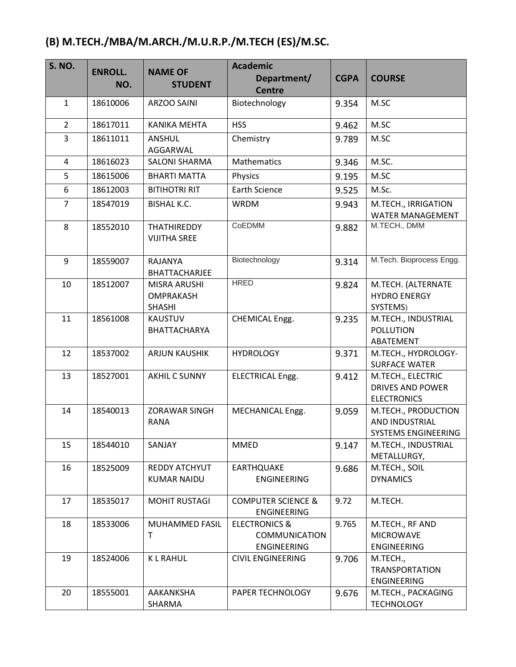## **(B) M.TECH./MBA/M.ARCH./M.U.R.P./M.TECH (ES)/M.SC.**

| <b>S. NO.</b>  | <b>ENROLL.</b> | <b>NAME OF</b>                        | <b>Academic</b>                     |             |                                           |
|----------------|----------------|---------------------------------------|-------------------------------------|-------------|-------------------------------------------|
|                | NO.            | <b>STUDENT</b>                        | Department/<br><b>Centre</b>        | <b>CGPA</b> | <b>COURSE</b>                             |
| $\mathbf{1}$   | 18610006       | <b>ARZOO SAINI</b>                    | Biotechnology                       | 9.354       | M.SC                                      |
|                |                |                                       |                                     |             |                                           |
| $\overline{2}$ | 18617011       | <b>KANIKA MEHTA</b>                   | <b>HSS</b>                          | 9.462       | M.SC                                      |
| 3              | 18611011       | ANSHUL                                | Chemistry                           | 9.789       | M.SC                                      |
| 4              | 18616023       | AGGARWAL<br><b>SALONI SHARMA</b>      | Mathematics                         | 9.346       | M.SC.                                     |
| 5              | 18615006       | <b>BHARTI MATTA</b>                   | Physics                             | 9.195       | M.SC                                      |
| 6              | 18612003       | <b>BITIHOTRI RIT</b>                  | <b>Earth Science</b>                | 9.525       | M.Sc.                                     |
| $\overline{7}$ | 18547019       | <b>BISHAL K.C.</b>                    | <b>WRDM</b>                         |             | M.TECH., IRRIGATION                       |
|                |                |                                       |                                     | 9.943       | <b>WATER MANAGEMENT</b>                   |
| 8              | 18552010       | <b>THATHIREDDY</b>                    | CoEDMM                              | 9.882       | M.TECH., DMM                              |
|                |                | <b>VIJITHA SREE</b>                   |                                     |             |                                           |
| 9              | 18559007       | <b>RAJANYA</b>                        | Biotechnology                       | 9.314       | M.Tech. Bioprocess Engg.                  |
|                |                | <b>BHATTACHARJEE</b>                  |                                     |             |                                           |
| 10             | 18512007       | <b>MISRA ARUSHI</b>                   | <b>HRED</b>                         | 9.824       | M.TECH. (ALTERNATE                        |
|                |                | <b>OMPRAKASH</b>                      |                                     |             | <b>HYDRO ENERGY</b>                       |
|                |                | <b>SHASHI</b>                         |                                     |             | SYSTEMS)                                  |
| 11             | 18561008       | <b>KAUSTUV</b><br><b>BHATTACHARYA</b> | CHEMICAL Engg.                      | 9.235       | M.TECH., INDUSTRIAL<br><b>POLLUTION</b>   |
|                |                |                                       |                                     |             | ABATEMENT                                 |
| 12             | 18537002       | <b>ARJUN KAUSHIK</b>                  | <b>HYDROLOGY</b>                    | 9.371       | M.TECH., HYDROLOGY-                       |
|                |                |                                       |                                     |             | <b>SURFACE WATER</b>                      |
| 13             | 18527001       | <b>AKHIL C SUNNY</b>                  | ELECTRICAL Engg.                    | 9.412       | M.TECH., ELECTRIC                         |
|                |                |                                       |                                     |             | <b>DRIVES AND POWER</b>                   |
| 14             | 18540013       | <b>ZORAWAR SINGH</b>                  | MECHANICAL Engg.                    | 9.059       | <b>ELECTRONICS</b><br>M.TECH., PRODUCTION |
|                |                | <b>RANA</b>                           |                                     |             | AND INDUSTRIAL                            |
|                |                |                                       |                                     |             | SYSTEMS ENGINEERING                       |
| 15             | 18544010       | SANJAY                                | <b>MMED</b>                         | 9.147       | M.TECH., INDUSTRIAL                       |
|                |                |                                       |                                     |             | METALLURGY,                               |
| 16             | 18525009       | <b>REDDY ATCHYUT</b>                  | <b>EARTHQUAKE</b>                   | 9.686       | M.TECH., SOIL                             |
|                |                | <b>KUMAR NAIDU</b>                    | <b>ENGINEERING</b>                  |             | <b>DYNAMICS</b>                           |
| 17             | 18535017       | <b>MOHIT RUSTAGI</b>                  | <b>COMPUTER SCIENCE &amp;</b>       | 9.72        | M.TECH.                                   |
|                |                |                                       | ENGINEERING                         |             |                                           |
| 18             | 18533006       | MUHAMMED FASIL<br>T                   | <b>ELECTRONICS &amp;</b>            | 9.765       | M.TECH., RF AND<br><b>MICROWAVE</b>       |
|                |                |                                       | <b>COMMUNICATION</b><br>ENGINEERING |             | <b>ENGINEERING</b>                        |
| 19             | 18524006       | <b>KLRAHUL</b>                        | <b>CIVIL ENGINEERING</b>            | 9.706       | M.TECH.,                                  |
|                |                |                                       |                                     |             | <b>TRANSPORTATION</b>                     |
|                |                |                                       |                                     |             | ENGINEERING                               |
| 20             | 18555001       | AAKANKSHA                             | PAPER TECHNOLOGY                    | 9.676       | M.TECH., PACKAGING                        |
|                |                | SHARMA                                |                                     |             | <b>TECHNOLOGY</b>                         |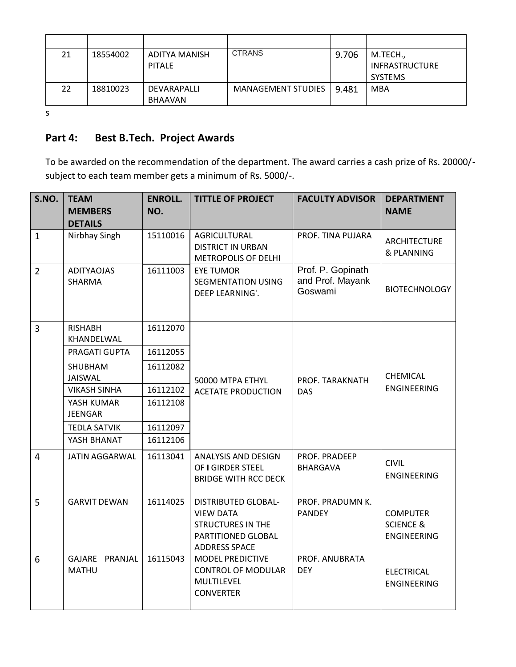| 21 | 18554002 | ADITYA MANISH<br><b>PITALE</b> | <b>CTRANS</b>             | 9.706 | M.TECH.,<br><b>INFRASTRUCTURE</b> |
|----|----------|--------------------------------|---------------------------|-------|-----------------------------------|
|    |          |                                |                           |       | <b>SYSTEMS</b>                    |
| 22 | 18810023 | DEVARAPALLI<br>BHAAVAN         | <b>MANAGEMENT STUDIES</b> | 9.481 | MBA                               |

s

### **Part 4: Best B.Tech. Project Awards**

To be awarded on the recommendation of the department. The award carries a cash prize of Rs. 20000/ subject to each team member gets a minimum of Rs. 5000/-.

| S.NO.          | <b>TEAM</b><br><b>MEMBERS</b><br><b>DETAILS</b> | <b>ENROLL.</b><br>NO. | <b>TITTLE OF PROJECT</b>                                                                                                 | <b>FACULTY ADVISOR</b>                           | <b>DEPARTMENT</b><br><b>NAME</b>                       |
|----------------|-------------------------------------------------|-----------------------|--------------------------------------------------------------------------------------------------------------------------|--------------------------------------------------|--------------------------------------------------------|
| $\mathbf{1}$   | Nirbhay Singh                                   | 15110016              | AGRICULTURAL<br><b>DISTRICT IN URBAN</b><br>METROPOLIS OF DELHI                                                          | PROF. TINA PUJARA                                | ARCHITECTURE<br>& PLANNING                             |
| $\overline{2}$ | <b>ADITYAOJAS</b><br><b>SHARMA</b>              | 16111003              | <b>EYE TUMOR</b><br><b>SEGMENTATION USING</b><br>DEEP LEARNING'.                                                         | Prof. P. Gopinath<br>and Prof. Mayank<br>Goswami | <b>BIOTECHNOLOGY</b>                                   |
| 3              | <b>RISHABH</b><br>KHANDELWAL                    | 16112070              |                                                                                                                          |                                                  |                                                        |
|                | PRAGATI GUPTA                                   | 16112055              |                                                                                                                          |                                                  |                                                        |
|                | SHUBHAM<br><b>JAISWAL</b>                       | 16112082              | 50000 MTPA ETHYL                                                                                                         | PROF. TARAKNATH<br><b>DAS</b>                    | CHEMICAL                                               |
|                | <b>VIKASH SINHA</b>                             | 16112102              | <b>ACETATE PRODUCTION</b>                                                                                                |                                                  | <b>ENGINEERING</b>                                     |
|                | YASH KUMAR<br><b>JEENGAR</b>                    | 16112108              |                                                                                                                          |                                                  |                                                        |
|                | <b>TEDLA SATVIK</b>                             | 16112097              |                                                                                                                          |                                                  |                                                        |
|                | YASH BHANAT                                     | 16112106              |                                                                                                                          |                                                  |                                                        |
| $\overline{4}$ | <b>JATIN AGGARWAL</b>                           | 16113041              | ANALYSIS AND DESIGN<br>OF I GIRDER STEEL<br><b>BRIDGE WITH RCC DECK</b>                                                  | PROF. PRADEEP<br><b>BHARGAVA</b>                 | <b>CIVIL</b><br>ENGINEERING                            |
| 5              | <b>GARVIT DEWAN</b>                             | 16114025              | <b>DISTRIBUTED GLOBAL-</b><br><b>VIEW DATA</b><br><b>STRUCTURES IN THE</b><br>PARTITIONED GLOBAL<br><b>ADDRESS SPACE</b> | PROF. PRADUMN K.<br><b>PANDEY</b>                | <b>COMPUTER</b><br><b>SCIENCE &amp;</b><br>ENGINEERING |
| 6              | GAJARE PRANJAL<br><b>MATHU</b>                  | 16115043              | <b>MODEL PREDICTIVE</b><br><b>CONTROL OF MODULAR</b><br>MULTILEVEL<br><b>CONVERTER</b>                                   | PROF. ANUBRATA<br><b>DEY</b>                     | <b>ELECTRICAL</b><br><b>ENGINEERING</b>                |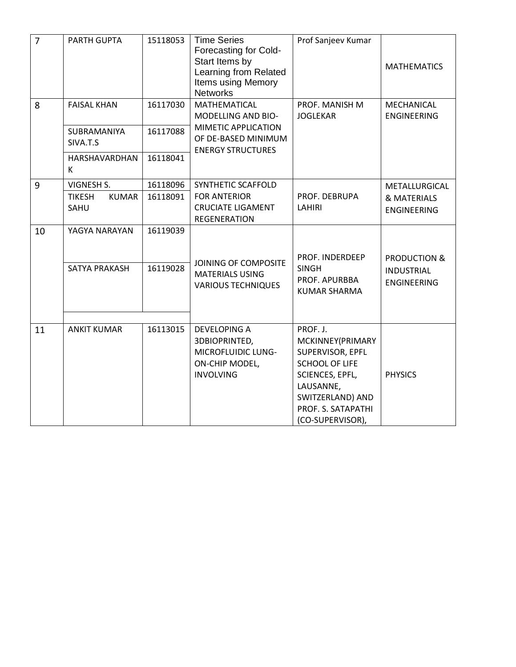| $\overline{7}$ | PARTH GUPTA                                         | 15118053             | <b>Time Series</b><br>Forecasting for Cold-<br>Start Items by<br>Learning from Related<br>Items using Memory<br><b>Networks</b> | Prof Sanjeev Kumar                                                                                                                                                      | <b>MATHEMATICS</b>                                 |
|----------------|-----------------------------------------------------|----------------------|---------------------------------------------------------------------------------------------------------------------------------|-------------------------------------------------------------------------------------------------------------------------------------------------------------------------|----------------------------------------------------|
| 8              | <b>FAISAL KHAN</b>                                  | 16117030             | MATHEMATICAL<br>MODELLING AND BIO-                                                                                              | PROF. MANISH M<br><b>JOGLEKAR</b>                                                                                                                                       | MECHANICAL<br><b>ENGINEERING</b>                   |
|                | SUBRAMANIYA<br>SIVA.T.S                             | 16117088             | MIMETIC APPLICATION<br>OF DE-BASED MINIMUM<br><b>ENERGY STRUCTURES</b>                                                          |                                                                                                                                                                         |                                                    |
|                | HARSHAVARDHAN<br>К                                  | 16118041             |                                                                                                                                 |                                                                                                                                                                         |                                                    |
| 9              | VIGNESH S.<br><b>TIKESH</b><br><b>KUMAR</b><br>SAHU | 16118096<br>16118091 | SYNTHETIC SCAFFOLD<br><b>FOR ANTERIOR</b><br><b>CRUCIATE LIGAMENT</b><br>REGENERATION                                           | PROF. DEBRUPA<br>LAHIRI                                                                                                                                                 | METALLURGICAL<br>& MATERIALS<br><b>ENGINEERING</b> |
| 10             | YAGYA NARAYAN                                       | 16119039             |                                                                                                                                 | PROF. INDERDEEP                                                                                                                                                         | <b>PRODUCTION &amp;</b>                            |
|                | SATYA PRAKASH                                       | 16119028             | JOINING OF COMPOSITE<br><b>MATERIALS USING</b><br><b>VARIOUS TECHNIQUES</b>                                                     | <b>SINGH</b><br>PROF. APURBBA<br><b>KUMAR SHARMA</b>                                                                                                                    | <b>INDUSTRIAL</b><br><b>ENGINEERING</b>            |
| 11             | <b>ANKIT KUMAR</b>                                  | 16113015             | <b>DEVELOPING A</b><br>3DBIOPRINTED,<br>MICROFLUIDIC LUNG-<br>ON-CHIP MODEL,<br><b>INVOLVING</b>                                | PROF. J.<br>MCKINNEY(PRIMARY<br>SUPERVISOR, EPFL<br><b>SCHOOL OF LIFE</b><br>SCIENCES, EPFL,<br>LAUSANNE,<br>SWITZERLAND) AND<br>PROF. S. SATAPATHI<br>(CO-SUPERVISOR), | <b>PHYSICS</b>                                     |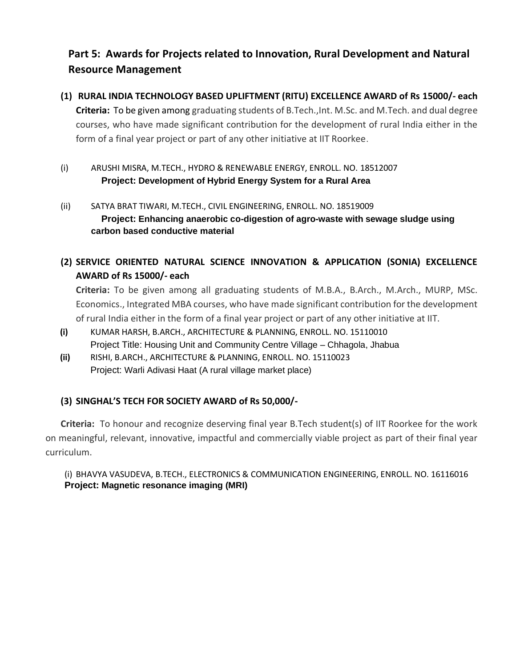### **Part 5: Awards for Projects related to Innovation, Rural Development and Natural Resource Management**

- **(1) RURAL INDIA TECHNOLOGY BASED UPLIFTMENT (RITU) EXCELLENCE AWARD of Rs 15000/- each Criteria:** To be given among graduating students of B.Tech.,Int. M.Sc. and M.Tech. and dual degree courses, who have made significant contribution for the development of rural India either in the form of a final year project or part of any other initiative at IIT Roorkee.
- (i) ARUSHI MISRA, M.TECH., HYDRO & RENEWABLE ENERGY, ENROLL. NO. 18512007 **Project: Development of Hybrid Energy System for a Rural Area**
- (ii) SATYA BRAT TIWARI, M.TECH., CIVIL ENGINEERING, ENROLL. NO. 18519009 **Project: Enhancing anaerobic co-digestion of agro-waste with sewage sludge using carbon based conductive material**
- **(2) SERVICE ORIENTED NATURAL SCIENCE INNOVATION & APPLICATION (SONIA) EXCELLENCE AWARD of Rs 15000/- each**

**Criteria:** To be given among all graduating students of M.B.A., B.Arch., M.Arch., MURP, MSc. Economics., Integrated MBA courses, who have made significant contribution for the development of rural India either in the form of a final year project or part of any other initiative at IIT.

- **(i)** KUMAR HARSH, B.ARCH., ARCHITECTURE & PLANNING, ENROLL. NO. 15110010 Project Title: Housing Unit and Community Centre Village – Chhagola, Jhabua
- **(ii)** RISHI, B.ARCH., ARCHITECTURE & PLANNING, ENROLL. NO. 15110023 Project: Warli Adivasi Haat (A rural village market place)

#### **(3) SINGHAL'S TECH FOR SOCIETY AWARD of Rs 50,000/-**

**Criteria:** To honour and recognize deserving final year B.Tech student(s) of IIT Roorkee for the work on meaningful, relevant, innovative, impactful and commercially viable project as part of their final year curriculum.

#### (i) BHAVYA VASUDEVA, B.TECH., ELECTRONICS & COMMUNICATION ENGINEERING, ENROLL. NO. 16116016 **Project: Magnetic resonance imaging (MRI)**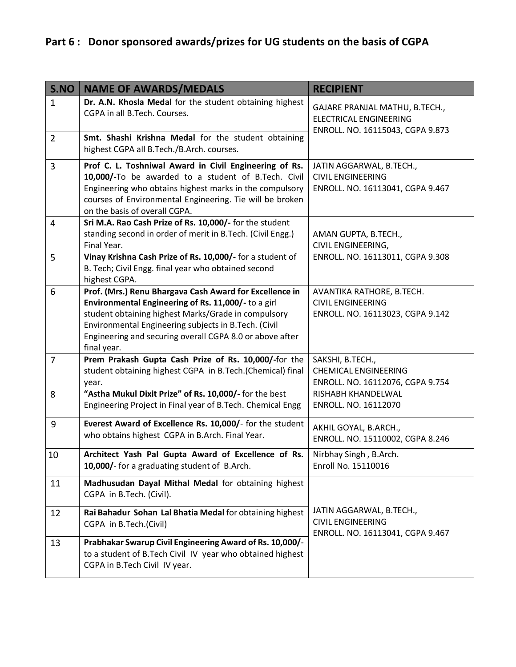| S.NO           | <b>NAME OF AWARDS/MEDALS</b>                                                                                                                                                                                                                                                                             | <b>RECIPIENT</b>                                                                                    |
|----------------|----------------------------------------------------------------------------------------------------------------------------------------------------------------------------------------------------------------------------------------------------------------------------------------------------------|-----------------------------------------------------------------------------------------------------|
| $\mathbf{1}$   | Dr. A.N. Khosla Medal for the student obtaining highest<br>CGPA in all B.Tech. Courses.                                                                                                                                                                                                                  | GAJARE PRANJAL MATHU, B.TECH.,<br><b>ELECTRICAL ENGINEERING</b><br>ENROLL. NO. 16115043, CGPA 9.873 |
| $\overline{2}$ | Smt. Shashi Krishna Medal for the student obtaining<br>highest CGPA all B.Tech./B.Arch. courses.                                                                                                                                                                                                         |                                                                                                     |
| 3              | Prof C. L. Toshniwal Award in Civil Engineering of Rs.<br>10,000/-To be awarded to a student of B.Tech. Civil<br>Engineering who obtains highest marks in the compulsory<br>courses of Environmental Engineering. Tie will be broken<br>on the basis of overall CGPA.                                    | JATIN AGGARWAL, B.TECH.,<br><b>CIVIL ENGINEERING</b><br>ENROLL. NO. 16113041, CGPA 9.467            |
| 4              | Sri M.A. Rao Cash Prize of Rs. 10,000/- for the student<br>standing second in order of merit in B.Tech. (Civil Engg.)<br>Final Year.                                                                                                                                                                     | AMAN GUPTA, B.TECH.,<br>CIVIL ENGINEERING,                                                          |
| 5              | Vinay Krishna Cash Prize of Rs. 10,000/- for a student of<br>B. Tech; Civil Engg. final year who obtained second<br>highest CGPA.                                                                                                                                                                        | ENROLL. NO. 16113011, CGPA 9.308                                                                    |
| 6              | Prof. (Mrs.) Renu Bhargava Cash Award for Excellence in<br>Environmental Engineering of Rs. 11,000/- to a girl<br>student obtaining highest Marks/Grade in compulsory<br>Environmental Engineering subjects in B.Tech. (Civil<br>Engineering and securing overall CGPA 8.0 or above after<br>final year. | AVANTIKA RATHORE, B.TECH.<br><b>CIVIL ENGINEERING</b><br>ENROLL. NO. 16113023, CGPA 9.142           |
| $\overline{7}$ | Prem Prakash Gupta Cash Prize of Rs. 10,000/-for the<br>student obtaining highest CGPA in B.Tech.(Chemical) final<br>year.                                                                                                                                                                               | SAKSHI, B.TECH.,<br><b>CHEMICAL ENGINEERING</b><br>ENROLL. NO. 16112076, CGPA 9.754                 |
| 8              | "Astha Mukul Dixit Prize" of Rs. 10,000/- for the best<br>Engineering Project in Final year of B.Tech. Chemical Engg                                                                                                                                                                                     | RISHABH KHANDELWAL<br>ENROLL. NO. 16112070                                                          |
| 9              | Everest Award of Excellence Rs. 10,000/- for the student<br>who obtains highest CGPA in B.Arch. Final Year.                                                                                                                                                                                              | AKHIL GOYAL, B.ARCH.,<br>ENROLL. NO. 15110002, CGPA 8.246                                           |
| 10             | Architect Yash Pal Gupta Award of Excellence of Rs.<br>10,000/- for a graduating student of B.Arch.                                                                                                                                                                                                      | Nirbhay Singh, B.Arch.<br>Enroll No. 15110016                                                       |
| 11             | Madhusudan Dayal Mithal Medal for obtaining highest<br>CGPA in B.Tech. (Civil).                                                                                                                                                                                                                          |                                                                                                     |
| 12             | Rai Bahadur Sohan Lal Bhatia Medal for obtaining highest<br>CGPA in B.Tech.(Civil)                                                                                                                                                                                                                       | JATIN AGGARWAL, B.TECH.,<br><b>CIVIL ENGINEERING</b><br>ENROLL. NO. 16113041, CGPA 9.467            |
| 13             | Prabhakar Swarup Civil Engineering Award of Rs. 10,000/-<br>to a student of B.Tech Civil IV year who obtained highest<br>CGPA in B.Tech Civil IV year.                                                                                                                                                   |                                                                                                     |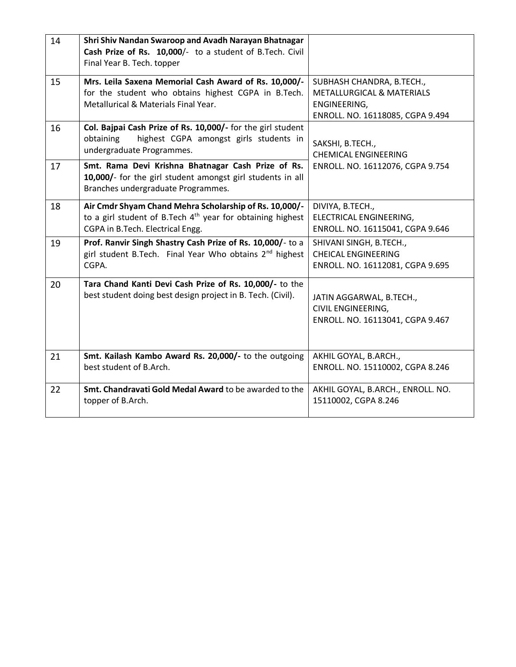| 14 | Shri Shiv Nandan Swaroop and Avadh Narayan Bhatnagar<br>Cash Prize of Rs. 10,000/- to a student of B.Tech. Civil<br>Final Year B. Tech. topper              |                                                                                                                       |
|----|-------------------------------------------------------------------------------------------------------------------------------------------------------------|-----------------------------------------------------------------------------------------------------------------------|
| 15 | Mrs. Leila Saxena Memorial Cash Award of Rs. 10,000/-<br>for the student who obtains highest CGPA in B.Tech.<br>Metallurical & Materials Final Year.        | SUBHASH CHANDRA, B.TECH.,<br><b>METALLURGICAL &amp; MATERIALS</b><br>ENGINEERING,<br>ENROLL. NO. 16118085, CGPA 9.494 |
| 16 | Col. Bajpai Cash Prize of Rs. 10,000/- for the girl student<br>obtaining<br>highest CGPA amongst girls students in<br>undergraduate Programmes.             | SAKSHI, B.TECH.,<br><b>CHEMICAL ENGINEERING</b>                                                                       |
| 17 | Smt. Rama Devi Krishna Bhatnagar Cash Prize of Rs.<br>10,000/- for the girl student amongst girl students in all<br>Branches undergraduate Programmes.      | ENROLL. NO. 16112076, CGPA 9.754                                                                                      |
| 18 | Air Cmdr Shyam Chand Mehra Scholarship of Rs. 10,000/-<br>to a girl student of B. Tech $4th$ year for obtaining highest<br>CGPA in B.Tech. Electrical Engg. | DIVIYA, B.TECH.,<br>ELECTRICAL ENGINEERING,<br>ENROLL. NO. 16115041, CGPA 9.646                                       |
| 19 | Prof. Ranvir Singh Shastry Cash Prize of Rs. 10,000/- to a<br>girl student B.Tech. Final Year Who obtains 2 <sup>nd</sup> highest<br>CGPA.                  | SHIVANI SINGH, B.TECH.,<br><b>CHEICAL ENGINEERING</b><br>ENROLL. NO. 16112081, CGPA 9.695                             |
| 20 | Tara Chand Kanti Devi Cash Prize of Rs. 10,000/- to the<br>best student doing best design project in B. Tech. (Civil).                                      | JATIN AGGARWAL, B.TECH.,<br>CIVIL ENGINEERING,<br>ENROLL. NO. 16113041, CGPA 9.467                                    |
| 21 | Smt. Kailash Kambo Award Rs. 20,000/- to the outgoing<br>best student of B.Arch.                                                                            | AKHIL GOYAL, B.ARCH.,<br>ENROLL. NO. 15110002, CGPA 8.246                                                             |
| 22 | Smt. Chandravati Gold Medal Award to be awarded to the<br>topper of B.Arch.                                                                                 | AKHIL GOYAL, B.ARCH., ENROLL. NO.<br>15110002, CGPA 8.246                                                             |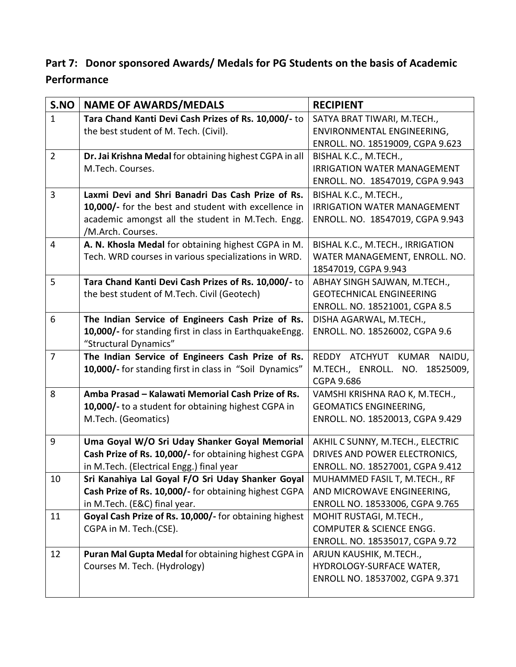## **Part 7: Donor sponsored Awards/ Medals for PG Students on the basis of Academic Performance**

| S.NO           | <b>NAME OF AWARDS/MEDALS</b>                            | <b>RECIPIENT</b>                                                  |
|----------------|---------------------------------------------------------|-------------------------------------------------------------------|
| $\mathbf{1}$   | Tara Chand Kanti Devi Cash Prizes of Rs. 10,000/- to    | SATYA BRAT TIWARI, M.TECH.,                                       |
|                | the best student of M. Tech. (Civil).                   | ENVIRONMENTAL ENGINEERING,                                        |
|                |                                                         | ENROLL. NO. 18519009, CGPA 9.623                                  |
| $\overline{2}$ | Dr. Jai Krishna Medal for obtaining highest CGPA in all | BISHAL K.C., M.TECH.,                                             |
|                | M.Tech. Courses.                                        | <b>IRRIGATION WATER MANAGEMENT</b>                                |
|                |                                                         | ENROLL. NO. 18547019, CGPA 9.943                                  |
| 3              | Laxmi Devi and Shri Banadri Das Cash Prize of Rs.       | BISHAL K.C., M.TECH.,                                             |
|                | 10,000/- for the best and student with excellence in    | <b>IRRIGATION WATER MANAGEMENT</b>                                |
|                | academic amongst all the student in M.Tech. Engg.       | ENROLL. NO. 18547019, CGPA 9.943                                  |
|                | /M.Arch. Courses.                                       |                                                                   |
| 4              | A. N. Khosla Medal for obtaining highest CGPA in M.     | BISHAL K.C., M.TECH., IRRIGATION                                  |
|                | Tech. WRD courses in various specializations in WRD.    | WATER MANAGEMENT, ENROLL. NO.                                     |
|                |                                                         | 18547019, CGPA 9.943                                              |
| 5              | Tara Chand Kanti Devi Cash Prizes of Rs. 10,000/- to    | ABHAY SINGH SAJWAN, M.TECH.,                                      |
|                | the best student of M.Tech. Civil (Geotech)             | <b>GEOTECHNICAL ENGINEERING</b>                                   |
|                |                                                         | ENROLL. NO. 18521001, CGPA 8.5                                    |
| 6              | The Indian Service of Engineers Cash Prize of Rs.       | DISHA AGARWAL, M.TECH.,                                           |
|                | 10,000/- for standing first in class in EarthquakeEngg. | ENROLL. NO. 18526002, CGPA 9.6                                    |
|                | "Structural Dynamics"                                   |                                                                   |
| $\overline{7}$ | The Indian Service of Engineers Cash Prize of Rs.       | REDDY ATCHYUT KUMAR<br>NAIDU,                                     |
|                | 10,000/- for standing first in class in "Soil Dynamics" | M.TECH., ENROLL. NO. 18525009,                                    |
|                |                                                         | <b>CGPA 9.686</b>                                                 |
| 8              | Amba Prasad - Kalawati Memorial Cash Prize of Rs.       | VAMSHI KRISHNA RAO K, M.TECH.,                                    |
|                | 10,000/- to a student for obtaining highest CGPA in     | <b>GEOMATICS ENGINEERING,</b>                                     |
|                | M.Tech. (Geomatics)                                     | ENROLL. NO. 18520013, CGPA 9.429                                  |
| 9              | Uma Goyal W/O Sri Uday Shanker Goyal Memorial           |                                                                   |
|                | Cash Prize of Rs. 10,000/- for obtaining highest CGPA   | AKHIL C SUNNY, M.TECH., ELECTRIC<br>DRIVES AND POWER ELECTRONICS, |
|                | in M.Tech. (Electrical Engg.) final year                | ENROLL. NO. 18527001, CGPA 9.412                                  |
| 10             | Sri Kanahiya Lal Goyal F/O Sri Uday Shanker Goyal       | MUHAMMED FASIL T, M.TECH., RF                                     |
|                | Cash Prize of Rs. 10,000/- for obtaining highest CGPA   | AND MICROWAVE ENGINEERING,                                        |
|                | in M.Tech. (E&C) final year.                            | ENROLL NO. 18533006, CGPA 9.765                                   |
| 11             | Goyal Cash Prize of Rs. 10,000/- for obtaining highest  | MOHIT RUSTAGI, M.TECH.,                                           |
|                | CGPA in M. Tech.(CSE).                                  | <b>COMPUTER &amp; SCIENCE ENGG.</b>                               |
|                |                                                         | ENROLL. NO. 18535017, CGPA 9.72                                   |
| 12             | Puran Mal Gupta Medal for obtaining highest CGPA in     | ARJUN KAUSHIK, M.TECH.,                                           |
|                | Courses M. Tech. (Hydrology)                            | HYDROLOGY-SURFACE WATER,                                          |
|                |                                                         | ENROLL NO. 18537002, CGPA 9.371                                   |
|                |                                                         |                                                                   |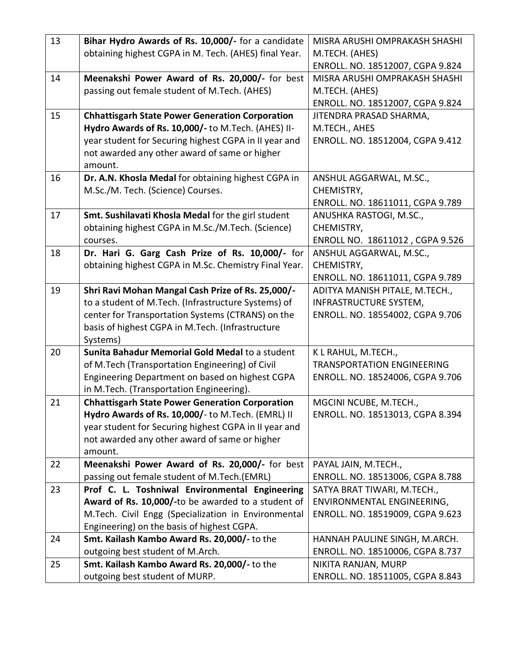| 13 | Bihar Hydro Awards of Rs. 10,000/- for a candidate                                                 | MISRA ARUSHI OMPRAKASH SHASHI                            |
|----|----------------------------------------------------------------------------------------------------|----------------------------------------------------------|
|    | obtaining highest CGPA in M. Tech. (AHES) final Year.                                              | M.TECH. (AHES)                                           |
|    |                                                                                                    | ENROLL. NO. 18512007, CGPA 9.824                         |
| 14 | Meenakshi Power Award of Rs. 20,000/- for best                                                     | MISRA ARUSHI OMPRAKASH SHASHI                            |
|    | passing out female student of M.Tech. (AHES)                                                       | M.TECH. (AHES)                                           |
|    |                                                                                                    | ENROLL. NO. 18512007, CGPA 9.824                         |
| 15 | <b>Chhattisgarh State Power Generation Corporation</b>                                             | JITENDRA PRASAD SHARMA,                                  |
|    | Hydro Awards of Rs. 10,000/- to M.Tech. (AHES) II-                                                 | M.TECH., AHES                                            |
|    | year student for Securing highest CGPA in II year and                                              | ENROLL. NO. 18512004, CGPA 9.412                         |
|    | not awarded any other award of same or higher                                                      |                                                          |
|    | amount.                                                                                            |                                                          |
| 16 | Dr. A.N. Khosla Medal for obtaining highest CGPA in                                                | ANSHUL AGGARWAL, M.SC.,                                  |
|    | M.Sc./M. Tech. (Science) Courses.                                                                  | CHEMISTRY,                                               |
|    |                                                                                                    | ENROLL. NO. 18611011, CGPA 9.789                         |
| 17 | Smt. Sushilavati Khosla Medal for the girl student                                                 | ANUSHKA RASTOGI, M.SC.,                                  |
|    | obtaining highest CGPA in M.Sc./M.Tech. (Science)                                                  | CHEMISTRY,                                               |
|    | courses.                                                                                           | ENROLL NO. 18611012, CGPA 9.526                          |
| 18 | Dr. Hari G. Garg Cash Prize of Rs. 10,000/- for                                                    | ANSHUL AGGARWAL, M.SC.,                                  |
|    | obtaining highest CGPA in M.Sc. Chemistry Final Year.                                              | CHEMISTRY,                                               |
|    |                                                                                                    | ENROLL. NO. 18611011, CGPA 9.789                         |
| 19 | Shri Ravi Mohan Mangal Cash Prize of Rs. 25,000/-                                                  | ADITYA MANISH PITALE, M.TECH.,                           |
|    | to a student of M.Tech. (Infrastructure Systems) of                                                | INFRASTRUCTURE SYSTEM,                                   |
|    | center for Transportation Systems (CTRANS) on the                                                  | ENROLL. NO. 18554002, CGPA 9.706                         |
|    | basis of highest CGPA in M.Tech. (Infrastructure                                                   |                                                          |
|    | Systems)<br>Sunita Bahadur Memorial Gold Medal to a student                                        |                                                          |
| 20 |                                                                                                    | K L RAHUL, M.TECH.,<br><b>TRANSPORTATION ENGINEERING</b> |
|    | of M.Tech (Transportation Engineering) of Civil<br>Engineering Department on based on highest CGPA | ENROLL. NO. 18524006, CGPA 9.706                         |
|    | in M.Tech. (Transportation Engineering).                                                           |                                                          |
| 21 | <b>Chhattisgarh State Power Generation Corporation</b>                                             | MGCINI NCUBE, M.TECH.,                                   |
|    | Hydro Awards of Rs. 10,000/- to M.Tech. (EMRL) II                                                  | ENROLL. NO. 18513013, CGPA 8.394                         |
|    | year student for Securing highest CGPA in II year and                                              |                                                          |
|    | not awarded any other award of same or higher                                                      |                                                          |
|    | amount.                                                                                            |                                                          |
| 22 | Meenakshi Power Award of Rs. 20,000/- for best                                                     | PAYAL JAIN, M.TECH.,                                     |
|    | passing out female student of M.Tech.(EMRL)                                                        | ENROLL. NO. 18513006, CGPA 8.788                         |
| 23 | Prof C. L. Toshniwal Environmental Engineering                                                     | SATYA BRAT TIWARI, M.TECH.,                              |
|    | Award of Rs. 10,000/-to be awarded to a student of                                                 | ENVIRONMENTAL ENGINEERING,                               |
|    | M.Tech. Civil Engg (Specialization in Environmental                                                | ENROLL. NO. 18519009, CGPA 9.623                         |
|    | Engineering) on the basis of highest CGPA.                                                         |                                                          |
| 24 | Smt. Kailash Kambo Award Rs. 20,000/- to the                                                       | HANNAH PAULINE SINGH, M.ARCH.                            |
|    | outgoing best student of M.Arch.                                                                   | ENROLL. NO. 18510006, CGPA 8.737                         |
| 25 | Smt. Kailash Kambo Award Rs. 20,000/- to the                                                       | NIKITA RANJAN, MURP                                      |
|    | outgoing best student of MURP.                                                                     | ENROLL. NO. 18511005, CGPA 8.843                         |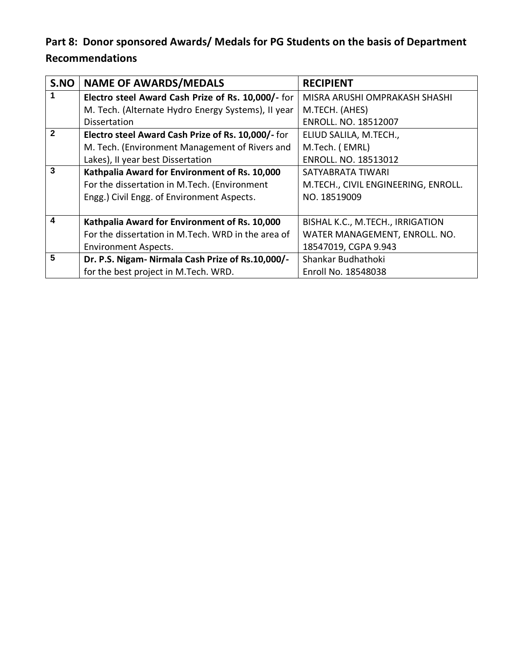## **Part 8: Donor sponsored Awards/ Medals for PG Students on the basis of Department Recommendations**

| S.NO | <b>NAME OF AWARDS/MEDALS</b>                       | <b>RECIPIENT</b>                    |  |
|------|----------------------------------------------------|-------------------------------------|--|
|      | Electro steel Award Cash Prize of Rs. 10,000/- for | MISRA ARUSHI OMPRAKASH SHASHI       |  |
|      | M. Tech. (Alternate Hydro Energy Systems), II year | M.TECH. (AHES)                      |  |
|      | <b>Dissertation</b>                                | ENROLL. NO. 18512007                |  |
|      | Electro steel Award Cash Prize of Rs. 10,000/- for | ELIUD SALILA, M.TECH.,              |  |
|      | M. Tech. (Environment Management of Rivers and     | M.Tech. (EMRL)                      |  |
|      | Lakes), II year best Dissertation                  | ENROLL. NO. 18513012                |  |
| 3    | Kathpalia Award for Environment of Rs. 10,000      | SATYABRATA TIWARI                   |  |
|      | For the dissertation in M.Tech. (Environment       | M.TECH., CIVIL ENGINEERING, ENROLL. |  |
|      | Engg.) Civil Engg. of Environment Aspects.         | NO. 18519009                        |  |
|      |                                                    |                                     |  |
| 4    | Kathpalia Award for Environment of Rs. 10,000      | BISHAL K.C., M.TECH., IRRIGATION    |  |
|      | For the dissertation in M.Tech. WRD in the area of | WATER MANAGEMENT, ENROLL. NO.       |  |
|      | <b>Environment Aspects.</b>                        | 18547019, CGPA 9.943                |  |
| 5    | Dr. P.S. Nigam- Nirmala Cash Prize of Rs.10,000/-  | Shankar Budhathoki                  |  |
|      | for the best project in M.Tech. WRD.               | Enroll No. 18548038                 |  |